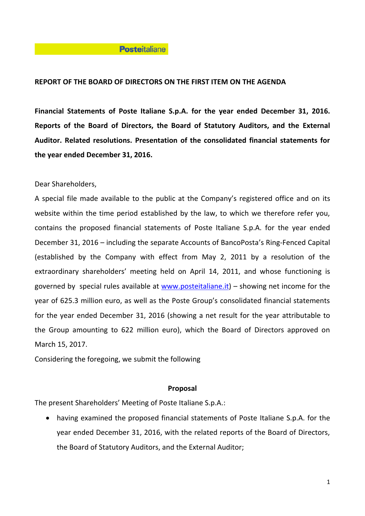### **Posteitaliane**

### **REPORT OF THE BOARD OF DIRECTORS ON THE FIRST ITEM ON THE AGENDA**

**Financial Statements of Poste Italiane S.p.A. for the year ended December 31, 2016. Reports of the Board of Directors, the Board of Statutory Auditors, and the External Auditor. Related resolutions. Presentation of the consolidated financial statements for the year ended December 31, 2016.** 

## Dear Shareholders,

A special file made available to the public at the Company's registered office and on its website within the time period established by the law, to which we therefore refer you, contains the proposed financial statements of Poste Italiane S.p.A. for the year ended December 31, 2016 – including the separate Accounts of BancoPosta's Ring-Fenced Capital (established by the Company with effect from May 2, 2011 by a resolution of the extraordinary shareholders' meeting held on April 14, 2011, and whose functioning is governed by special rules available at [www.posteitaliane.it\)](http://www.posteitaliane.it/) – showing net income for the year of 625.3 million euro, as well as the Poste Group's consolidated financial statements for the year ended December 31, 2016 (showing a net result for the year attributable to the Group amounting to 622 million euro), which the Board of Directors approved on March 15, 2017.

Considering the foregoing, we submit the following

### **Proposal**

The present Shareholders' Meeting of Poste Italiane S.p.A.:

 having examined the proposed financial statements of Poste Italiane S.p.A. for the year ended December 31, 2016, with the related reports of the Board of Directors, the Board of Statutory Auditors, and the External Auditor;